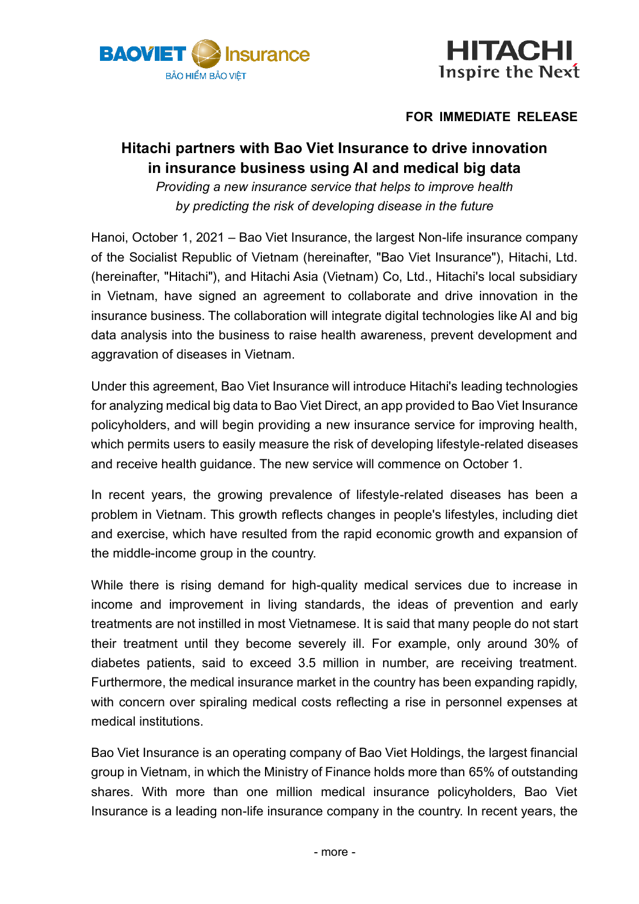



# **FOR IMMEDIATE RELEASE**

# **Hitachi partners with Bao Viet Insurance to drive innovation in insurance business using AI and medical big data**

*Providing a new insurance service that helps to improve health by predicting the risk of developing disease in the future*

Hanoi, October 1, 2021 – Bao Viet Insurance, the largest Non-life insurance company of the Socialist Republic of Vietnam (hereinafter, "Bao Viet Insurance"), Hitachi, Ltd. (hereinafter, "Hitachi"), and Hitachi Asia (Vietnam) Co, Ltd., Hitachi's local subsidiary in Vietnam, have signed an agreement to collaborate and drive innovation in the insurance business. The collaboration will integrate digital technologies like AI and big data analysis into the business to raise health awareness, prevent development and aggravation of diseases in Vietnam.

Under this agreement, Bao Viet Insurance will introduce Hitachi's leading technologies for analyzing medical big data to Bao Viet Direct, an app provided to Bao Viet Insurance policyholders, and will begin providing a new insurance service for improving health, which permits users to easily measure the risk of developing lifestyle-related diseases and receive health guidance. The new service will commence on October 1.

In recent years, the growing prevalence of lifestyle-related diseases has been a problem in Vietnam. This growth reflects changes in people's lifestyles, including diet and exercise, which have resulted from the rapid economic growth and expansion of the middle-income group in the country.

While there is rising demand for high-quality medical services due to increase in income and improvement in living standards, the ideas of prevention and early treatments are not instilled in most Vietnamese. It is said that many people do not start their treatment until they become severely ill. For example, only around 30% of diabetes patients, said to exceed 3.5 million in number, are receiving treatment. Furthermore, the medical insurance market in the country has been expanding rapidly, with concern over spiraling medical costs reflecting a rise in personnel expenses at medical institutions.

Bao Viet Insurance is an operating company of Bao Viet Holdings, the largest financial group in Vietnam, in which the Ministry of Finance holds more than 65% of outstanding shares. With more than one million medical insurance policyholders, Bao Viet Insurance is a leading non-life insurance company in the country. In recent years, the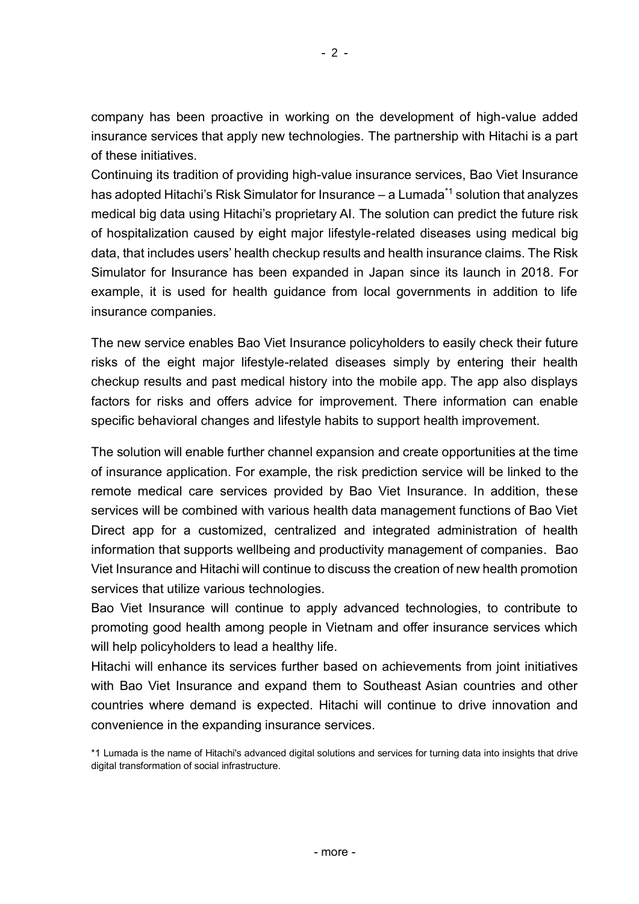company has been proactive in working on the development of high-value added insurance services that apply new technologies. The partnership with Hitachi is a part of these initiatives.

Continuing its tradition of providing high-value insurance services, Bao Viet Insurance has adopted Hitachi's Risk Simulator for Insurance  $-$  a Lumada<sup>\*1</sup> solution that analyzes medical big data using Hitachi's proprietary AI. The solution can predict the future risk of hospitalization caused by eight major lifestyle-related diseases using medical big data, that includes users' health checkup results and health insurance claims. The Risk Simulator for Insurance has been expanded in Japan since its launch in 2018. For example, it is used for health guidance from local governments in addition to life insurance companies.

The new service enables Bao Viet Insurance policyholders to easily check their future risks of the eight major lifestyle-related diseases simply by entering their health checkup results and past medical history into the mobile app. The app also displays factors for risks and offers advice for improvement. There information can enable specific behavioral changes and lifestyle habits to support health improvement.

The solution will enable further channel expansion and create opportunities at the time of insurance application. For example, the risk prediction service will be linked to the remote medical care services provided by Bao Viet Insurance. In addition, these services will be combined with various health data management functions of Bao Viet Direct app for a customized, centralized and integrated administration of health information that supports wellbeing and productivity management of companies. Bao Viet Insurance and Hitachi will continue to discuss the creation of new health promotion services that utilize various technologies.

Bao Viet Insurance will continue to apply advanced technologies, to contribute to promoting good health among people in Vietnam and offer insurance services which will help policyholders to lead a healthy life.

Hitachi will enhance its services further based on achievements from joint initiatives with Bao Viet Insurance and expand them to Southeast Asian countries and other countries where demand is expected. Hitachi will continue to drive innovation and convenience in the expanding insurance services.

<sup>\*1</sup> Lumada is the name of Hitachi's advanced digital solutions and services for turning data into insights that drive digital transformation of social infrastructure.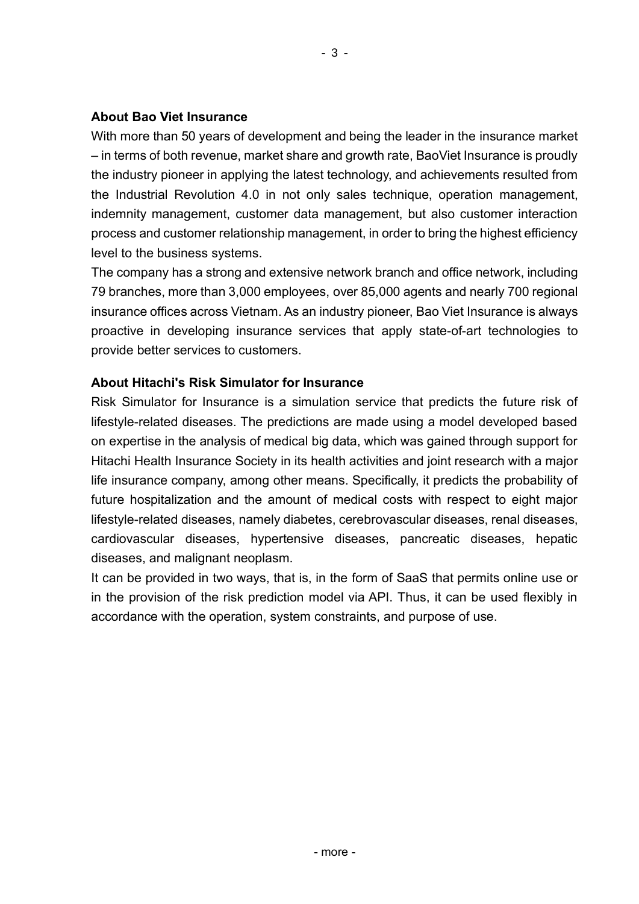### **About Bao Viet Insurance**

With more than 50 years of development and being the leader in the insurance market – in terms of both revenue, market share and growth rate, BaoViet Insurance is proudly the industry pioneer in applying the latest technology, and achievements resulted from the Industrial Revolution 4.0 in not only sales technique, operation management, indemnity management, customer data management, but also customer interaction process and customer relationship management, in order to bring the highest efficiency level to the business systems.

The company has a strong and extensive network branch and office network, including 79 branches, more than 3,000 employees, over 85,000 agents and nearly 700 regional insurance offices across Vietnam. As an industry pioneer, Bao Viet Insurance is always proactive in developing insurance services that apply state-of-art technologies to provide better services to customers.

# **About Hitachi's Risk Simulator for Insurance**

Risk Simulator for Insurance is a simulation service that predicts the future risk of lifestyle-related diseases. The predictions are made using a model developed based on expertise in the analysis of medical big data, which was gained through support for Hitachi Health Insurance Society in its health activities and joint research with a major life insurance company, among other means. Specifically, it predicts the probability of future hospitalization and the amount of medical costs with respect to eight major lifestyle-related diseases, namely diabetes, cerebrovascular diseases, renal diseases, cardiovascular diseases, hypertensive diseases, pancreatic diseases, hepatic diseases, and malignant neoplasm.

It can be provided in two ways, that is, in the form of SaaS that permits online use or in the provision of the risk prediction model via API. Thus, it can be used flexibly in accordance with the operation, system constraints, and purpose of use.